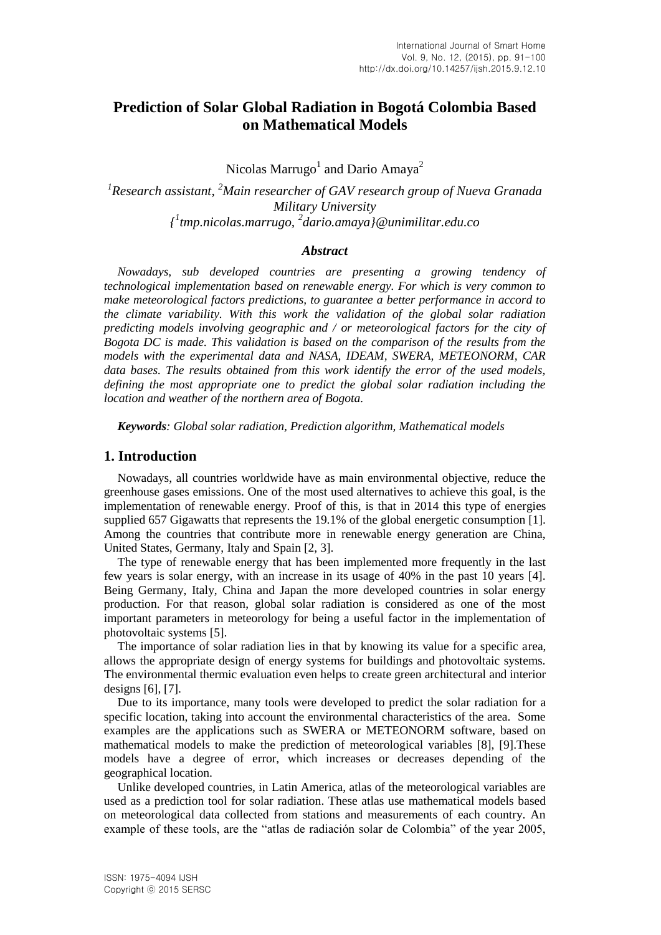# **Prediction of Solar Global Radiation in Bogotá Colombia Based on Mathematical Models**

Nicolas Marrugo<sup>1</sup> and Dario Amaya<sup>2</sup>

*1 Research assistant, <sup>2</sup>Main researcher of GAV research group of Nueva Granada Military University { 1 tmp.nicolas.marrugo, <sup>2</sup> dario.amaya}@unimilitar.edu.co*

## *Abstract*

*Nowadays, sub developed countries are presenting a growing tendency of technological implementation based on renewable energy. For which is very common to make meteorological factors predictions, to guarantee a better performance in accord to the climate variability. With this work the validation of the global solar radiation predicting models involving geographic and / or meteorological factors for the city of Bogota DC is made. This validation is based on the comparison of the results from the models with the experimental data and NASA, IDEAM, SWERA, METEONORM, CAR data bases. The results obtained from this work identify the error of the used models, defining the most appropriate one to predict the global solar radiation including the location and weather of the northern area of Bogota.* 

*Keywords: Global solar radiation, Prediction algorithm, Mathematical models* 

## **1. Introduction**

Nowadays, all countries worldwide have as main environmental objective, reduce the greenhouse gases emissions. One of the most used alternatives to achieve this goal, is the implementation of renewable energy. Proof of this, is that in 2014 this type of energies supplied 657 Gigawatts that represents the 19.1% of the global energetic consumption [1]. Among the countries that contribute more in renewable energy generation are China, United States, Germany, Italy and Spain [2, 3].

The type of renewable energy that has been implemented more frequently in the last few years is solar energy, with an increase in its usage of 40% in the past 10 years [4]. Being Germany, Italy, China and Japan the more developed countries in solar energy production. For that reason, global solar radiation is considered as one of the most important parameters in meteorology for being a useful factor in the implementation of photovoltaic systems [5].

The importance of solar radiation lies in that by knowing its value for a specific area, allows the appropriate design of energy systems for buildings and photovoltaic systems. The environmental thermic evaluation even helps to create green architectural and interior designs [6], [7].

Due to its importance, many tools were developed to predict the solar radiation for a specific location, taking into account the environmental characteristics of the area. Some examples are the applications such as SWERA or METEONORM software, based on mathematical models to make the prediction of meteorological variables [8], [9].These models have a degree of error, which increases or decreases depending of the geographical location.

Unlike developed countries, in Latin America, atlas of the meteorological variables are used as a prediction tool for solar radiation. These atlas use mathematical models based on meteorological data collected from stations and measurements of each country. An example of these tools, are the "atlas de radiación solar de Colombia" of the year 2005,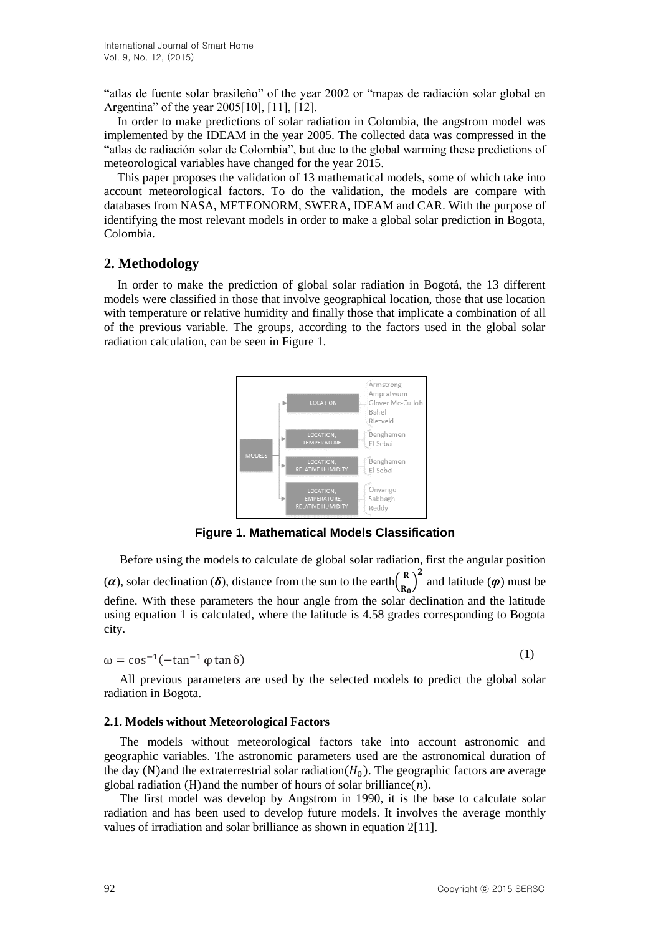"atlas de fuente solar brasileño" of the year 2002 or "mapas de radiación solar global en Argentina" of the year 2005[10], [11], [12].

In order to make predictions of solar radiation in Colombia, the angstrom model was implemented by the IDEAM in the year 2005. The collected data was compressed in the "atlas de radiación solar de Colombia", but due to the global warming these predictions of meteorological variables have changed for the year 2015.

This paper proposes the validation of 13 mathematical models, some of which take into account meteorological factors. To do the validation, the models are compare with databases from NASA, METEONORM, SWERA, IDEAM and CAR. With the purpose of identifying the most relevant models in order to make a global solar prediction in Bogota, Colombia.

# **2. Methodology**

In order to make the prediction of global solar radiation in Bogotá, the 13 different models were classified in those that involve geographical location, those that use location with temperature or relative humidity and finally those that implicate a combination of all of the previous variable. The groups, according to the factors used in the global solar radiation calculation, can be seen in Figure 1.



**Figure 1. Mathematical Models Classification** 

Before using the models to calculate de global solar radiation, first the angular position  $(\alpha)$ , solar declination  $(\delta)$ , distance from the sun to the earth $(\frac{R}{n})$  $\left(\frac{R}{R_0}\right)^2$  and latitude  $(\varphi)$  must be define. With these parameters the hour angle from the solar declination and the latitude using equation 1 is calculated, where the latitude is 4.58 grades corresponding to Bogota city.

$$
\omega = \cos^{-1}(-\tan^{-1}\varphi\tan\delta) \tag{1}
$$

All previous parameters are used by the selected models to predict the global solar radiation in Bogota.

### **2.1. Models without Meteorological Factors**

The models without meteorological factors take into account astronomic and geographic variables. The astronomic parameters used are the astronomical duration of the day (N)and the extraterrestrial solar radiation( $H_0$ ). The geographic factors are average global radiation (H)and the number of hours of solar brilliance  $(n)$ .

The first model was develop by Angstrom in 1990, it is the base to calculate solar radiation and has been used to develop future models. It involves the average monthly values of irradiation and solar brilliance as shown in equation 2[11].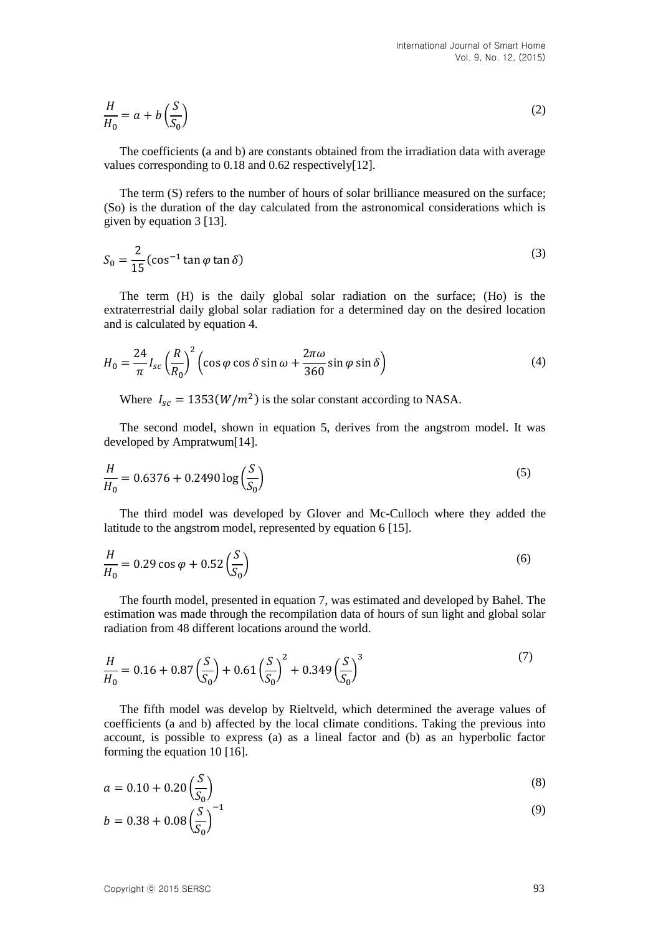$$
\frac{H}{H_0} = a + b \left(\frac{S}{S_0}\right) \tag{2}
$$

The coefficients (a and b) are constants obtained from the irradiation data with average values corresponding to 0.18 and 0.62 respectively[12].

The term (S) refers to the number of hours of solar brilliance measured on the surface; (So) is the duration of the day calculated from the astronomical considerations which is given by equation 3 [13].

$$
S_0 = \frac{2}{15} (\cos^{-1} \tan \varphi \tan \delta)
$$
 (3)

The term (H) is the daily global solar radiation on the surface; (Ho) is the extraterrestrial daily global solar radiation for a determined day on the desired location and is calculated by equation 4.

$$
H_0 = \frac{24}{\pi} I_{sc} \left(\frac{R}{R_0}\right)^2 \left(\cos\varphi\cos\delta\sin\omega + \frac{2\pi\omega}{360}\sin\varphi\sin\delta\right)
$$
(4)

Where  $I_{sc} = 1353(W/m^2)$  is the solar constant according to NASA.

The second model, shown in equation 5, derives from the angstrom model. It was developed by Ampratwum[14].

$$
\frac{H}{H_0} = 0.6376 + 0.2490 \log \left( \frac{S}{S_0} \right)
$$
\n(5)

The third model was developed by Glover and Mc-Culloch where they added the latitude to the angstrom model, represented by equation 6 [15].

$$
\frac{H}{H_0} = 0.29 \cos \varphi + 0.52 \left(\frac{S}{S_0}\right) \tag{6}
$$

The fourth model, presented in equation 7, was estimated and developed by Bahel. The estimation was made through the recompilation data of hours of sun light and global solar radiation from 48 different locations around the world.

$$
\frac{H}{H_0} = 0.16 + 0.87 \left(\frac{S}{S_0}\right) + 0.61 \left(\frac{S}{S_0}\right)^2 + 0.349 \left(\frac{S}{S_0}\right)^3\tag{7}
$$

The fifth model was develop by Rieltveld, which determined the average values of coefficients (a and b) affected by the local climate conditions. Taking the previous into account, is possible to express (a) as a lineal factor and (b) as an hyperbolic factor forming the equation 10 [16].

$$
a = 0.10 + 0.20 \left(\frac{S}{S_0}\right) \tag{8}
$$

$$
b = 0.38 + 0.08 \left(\frac{S}{S_0}\right)^{-1} \tag{9}
$$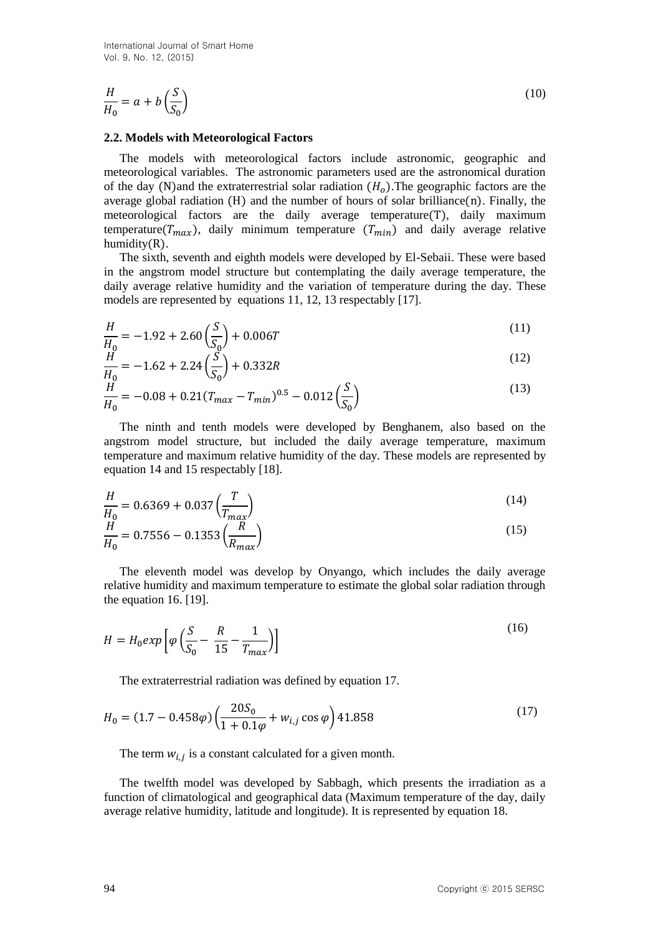$$
\frac{H}{H_0} = a + b \left(\frac{S}{S_0}\right) \tag{10}
$$

#### **2.2. Models with Meteorological Factors**

The models with meteorological factors include astronomic, geographic and meteorological variables. The astronomic parameters used are the astronomical duration of the day (N)and the extraterrestrial solar radiation  $(H<sub>o</sub>)$ . The geographic factors are the average global radiation  $(H)$  and the number of hours of solar brilliance $(n)$ . Finally, the meteorological factors are the daily average temperature(T), daily maximum temperature( $T_{max}$ ), daily minimum temperature ( $T_{min}$ ) and daily average relative humidity(R).

The sixth, seventh and eighth models were developed by El-Sebaii. These were based in the angstrom model structure but contemplating the daily average temperature, the daily average relative humidity and the variation of temperature during the day. These models are represented by equations 11, 12, 13 respectably [17].

$$
\frac{H}{H_0} = -1.92 + 2.60 \left(\frac{S}{S_0}\right) + 0.006T\tag{11}
$$

$$
\frac{H}{H_0} = -1.62 + 2.24 \left(\frac{S}{S_0}\right) + 0.332R
$$
\n(12)

$$
\frac{H}{H_0} = -0.08 + 0.21(T_{max} - T_{min})^{0.5} - 0.012\left(\frac{S}{S_0}\right)
$$
\n(13)

The ninth and tenth models were developed by Benghanem, also based on the angstrom model structure, but included the daily average temperature, maximum temperature and maximum relative humidity of the day. These models are represented by equation 14 and 15 respectably [18].

$$
\frac{H}{H_0} = 0.6369 + 0.037 \left(\frac{T}{T_{max}}\right)
$$
\n(14)

$$
\frac{\dot{H}}{H_0} = 0.7556 - 0.1353 \left(\frac{\dddot{R}}{R_{max}}\right)
$$
\n(15)

The eleventh model was develop by Onyango, which includes the daily average relative humidity and maximum temperature to estimate the global solar radiation through the equation 16. [19].

$$
H = H_0 \exp\left[\varphi \left(\frac{S}{S_0} - \frac{R}{15} - \frac{1}{T_{max}}\right)\right]
$$
\n(16)

The extraterrestrial radiation was defined by equation 17.

$$
H_0 = (1.7 - 0.458\varphi) \left(\frac{20S_0}{1 + 0.1\varphi} + w_{i,j}\cos\varphi\right) 41.858\tag{17}
$$

The term  $w_{i,j}$  is a constant calculated for a given month.

The twelfth model was developed by Sabbagh, which presents the irradiation as a function of climatological and geographical data (Maximum temperature of the day, daily average relative humidity, latitude and longitude). It is represented by equation 18.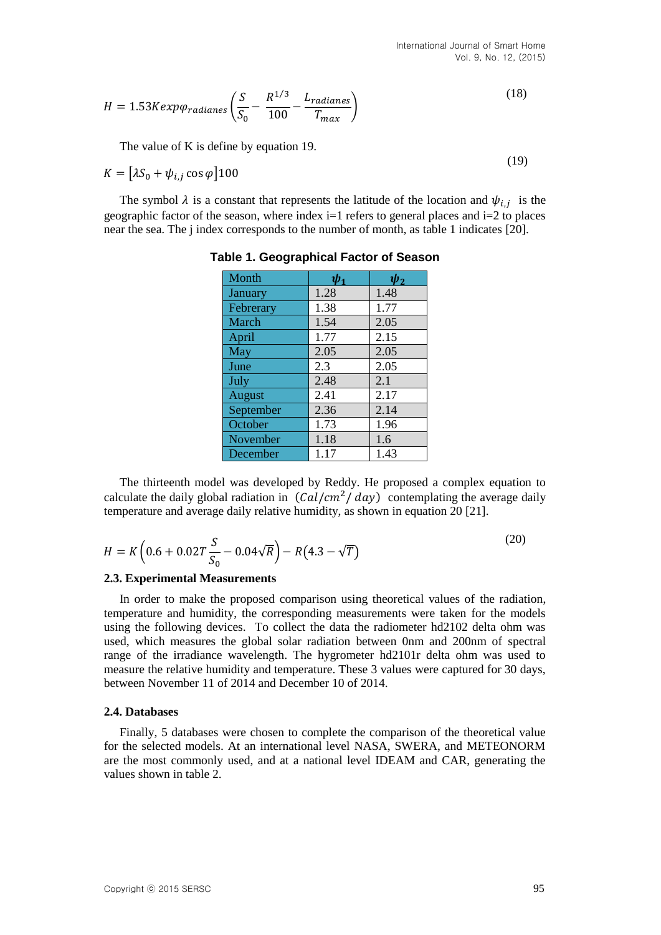(19)

$$
H = 1.53Kexp\varphi_{radiances} \left( \frac{S}{S_0} - \frac{R^{1/3}}{100} - \frac{L_{radiances}}{T_{max}} \right)
$$
 (18)

The value of K is define by equation 19.

$$
K = \left[ \lambda S_0 + \psi_{i,j} \cos \varphi \right] 100
$$

The symbol  $\lambda$  is a constant that represents the latitude of the location and  $\psi_{i,j}$  is the geographic factor of the season, where index i=1 refers to general places and i=2 to places near the sea. The j index corresponds to the number of month, as table 1 indicates [20].

| Month         | $\psi_1$ | $\psi_2$ |
|---------------|----------|----------|
| January       | 1.28     | 1.48     |
| Febrerary     | 1.38     | 1.77     |
| March         | 1.54     | 2.05     |
| April         | 1.77     | 2.15     |
| May           | 2.05     | 2.05     |
| June          | 2.3      | 2.05     |
| July          | 2.48     | 2.1      |
| <b>August</b> | 2.41     | 2.17     |
| September     | 2.36     | 2.14     |
| October       | 1.73     | 1.96     |
| November      | 1.18     | 1.6      |
| December      | 1.17     | 1.43     |

**Table 1. Geographical Factor of Season**

The thirteenth model was developed by Reddy. He proposed a complex equation to calculate the daily global radiation in  $(Cal/cm^2 / day)$  contemplating the average daily temperature and average daily relative humidity, as shown in equation 20 [21].

$$
H = K \left( 0.6 + 0.02T \frac{S}{S_0} - 0.04\sqrt{R} \right) - R \left( 4.3 - \sqrt{T} \right)
$$
\n<sup>(20)</sup>

#### **2.3. Experimental Measurements**

In order to make the proposed comparison using theoretical values of the radiation, temperature and humidity, the corresponding measurements were taken for the models using the following devices. To collect the data the radiometer hd2102 delta ohm was used, which measures the global solar radiation between 0nm and 200nm of spectral range of the irradiance wavelength. The hygrometer hd2101r delta ohm was used to measure the relative humidity and temperature. These 3 values were captured for 30 days, between November 11 of 2014 and December 10 of 2014.

#### **2.4. Databases**

Finally, 5 databases were chosen to complete the comparison of the theoretical value for the selected models. At an international level NASA, SWERA, and METEONORM are the most commonly used, and at a national level IDEAM and CAR, generating the values shown in table 2.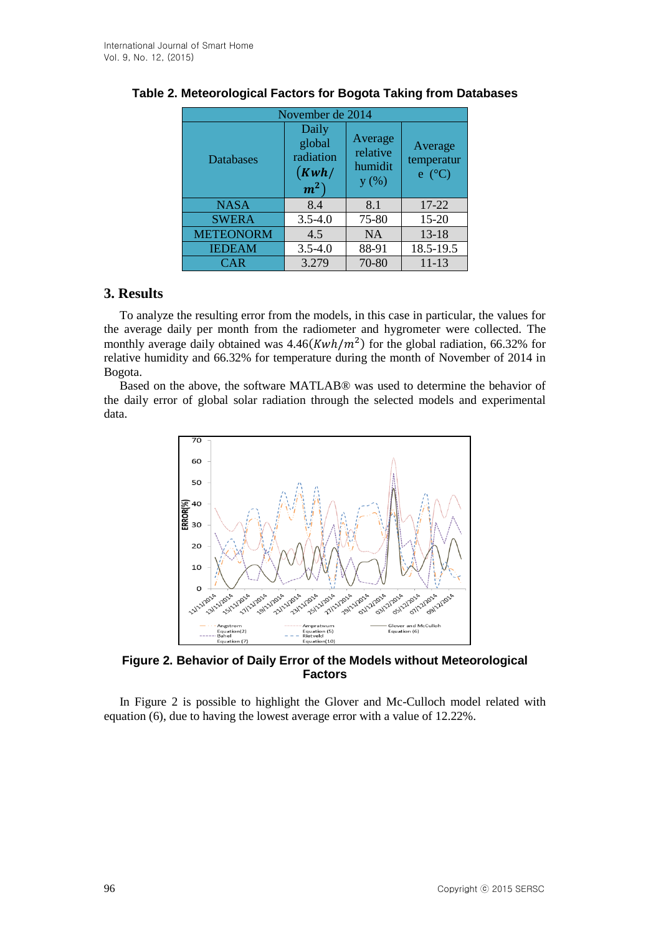| November de 2014 |                                                |                                        |                                   |
|------------------|------------------------------------------------|----------------------------------------|-----------------------------------|
| Databases        | Daily<br>global<br>radiation<br>(Kwh/<br>$m^2$ | Average<br>relative<br>humidit<br>y(%) | Average<br>temperatur<br>$e$ (°C) |
| <b>NASA</b>      | 8.4                                            | 8.1                                    | $17 - 22$                         |
| <b>SWERA</b>     | $3.5 - 4.0$                                    | 75-80                                  | $15 - 20$                         |
| <b>METEONORM</b> | 4.5                                            | <b>NA</b>                              | $13 - 18$                         |
| <b>IEDEAM</b>    | $3.5 - 4.0$                                    | 88-91                                  | 18.5-19.5                         |
| <b>CAR</b>       | 3.279                                          | 70-80                                  | $11 - 13$                         |

# **Table 2. Meteorological Factors for Bogota Taking from Databases**

# **3. Results**

To analyze the resulting error from the models, in this case in particular, the values for the average daily per month from the radiometer and hygrometer were collected. The monthly average daily obtained was  $4.46(Kwh/m^2)$  for the global radiation, 66.32% for relative humidity and 66.32% for temperature during the month of November of 2014 in Bogota.

Based on the above, the software MATLAB® was used to determine the behavior of the daily error of global solar radiation through the selected models and experimental data.



**Figure 2. Behavior of Daily Error of the Models without Meteorological Factors**

In Figure 2 is possible to highlight the Glover and Mc-Culloch model related with equation (6), due to having the lowest average error with a value of 12.22%.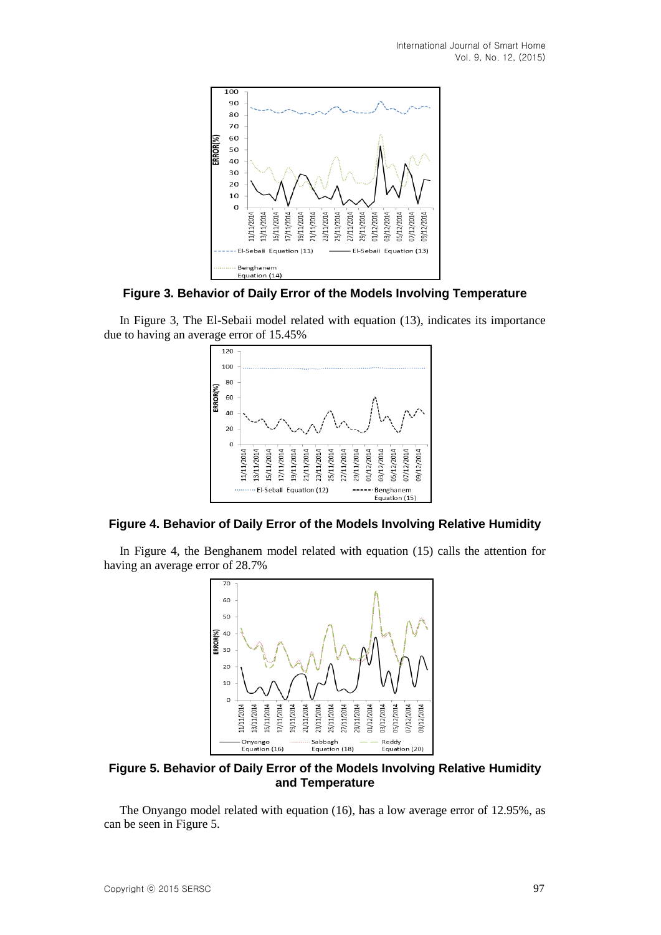

**Figure 3. Behavior of Daily Error of the Models Involving Temperature**

In Figure 3, The El-Sebaii model related with equation (13), indicates its importance due to having an average error of 15.45%



# **Figure 4. Behavior of Daily Error of the Models Involving Relative Humidity**

In Figure 4, the Benghanem model related with equation (15) calls the attention for having an average error of 28.7%



**Figure 5. Behavior of Daily Error of the Models Involving Relative Humidity and Temperature**

The Onyango model related with equation (16), has a low average error of 12.95%, as can be seen in Figure 5.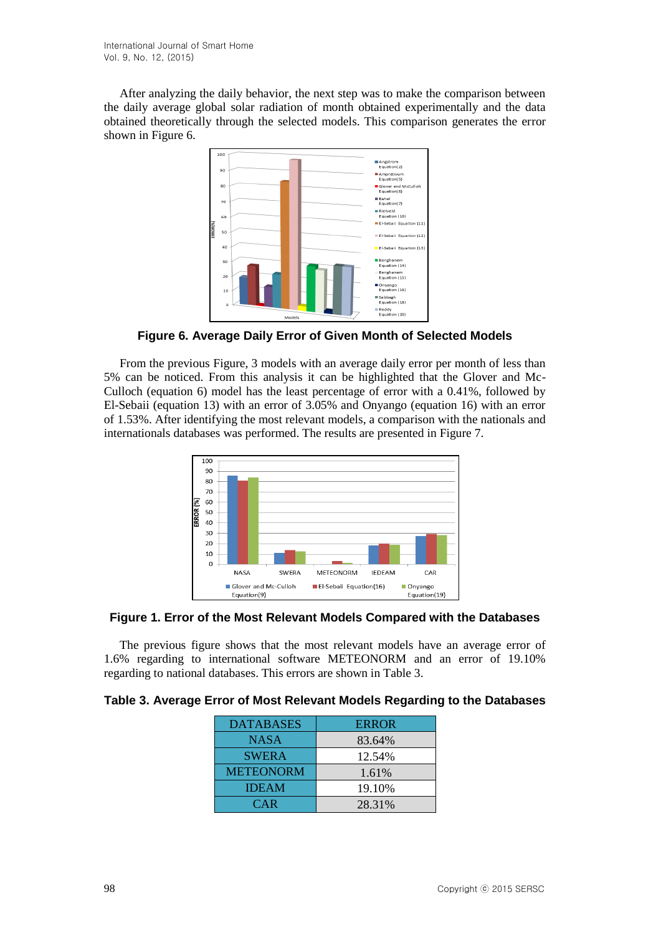After analyzing the daily behavior, the next step was to make the comparison between the daily average global solar radiation of month obtained experimentally and the data obtained theoretically through the selected models. This comparison generates the error shown in Figure 6.



**Figure 6. Average Daily Error of Given Month of Selected Models**

From the previous Figure, 3 models with an average daily error per month of less than 5% can be noticed. From this analysis it can be highlighted that the Glover and Mc-Culloch (equation 6) model has the least percentage of error with a 0.41%, followed by El-Sebaii (equation 13) with an error of 3.05% and Onyango (equation 16) with an error of 1.53%. After identifying the most relevant models, a comparison with the nationals and internationals databases was performed. The results are presented in Figure 7.



**Figure 1. Error of the Most Relevant Models Compared with the Databases**

The previous figure shows that the most relevant models have an average error of 1.6% regarding to international software METEONORM and an error of 19.10% regarding to national databases. This errors are shown in Table 3.

|  |  |  |  | Table 3. Average Error of Most Relevant Models Regarding to the Databases |
|--|--|--|--|---------------------------------------------------------------------------|
|  |  |  |  |                                                                           |

| <b>DATABASES</b> | <b>ERROR</b> |
|------------------|--------------|
| <b>NASA</b>      | 83.64%       |
| <b>SWERA</b>     | 12.54%       |
| <b>METEONORM</b> | 1.61%        |
| <b>IDEAM</b>     | 19.10%       |
| <b>CAR</b>       | 28.31%       |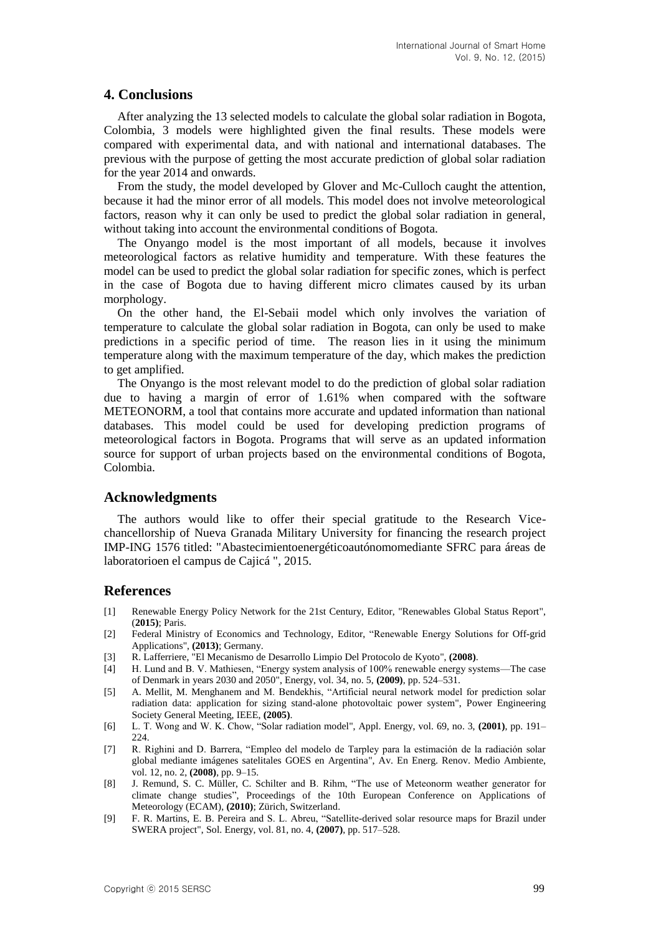### **4. Conclusions**

After analyzing the 13 selected models to calculate the global solar radiation in Bogota, Colombia, 3 models were highlighted given the final results. These models were compared with experimental data, and with national and international databases. The previous with the purpose of getting the most accurate prediction of global solar radiation for the year 2014 and onwards.

From the study, the model developed by Glover and Mc-Culloch caught the attention, because it had the minor error of all models. This model does not involve meteorological factors, reason why it can only be used to predict the global solar radiation in general, without taking into account the environmental conditions of Bogota.

The Onyango model is the most important of all models, because it involves meteorological factors as relative humidity and temperature. With these features the model can be used to predict the global solar radiation for specific zones, which is perfect in the case of Bogota due to having different micro climates caused by its urban morphology.

On the other hand, the El-Sebaii model which only involves the variation of temperature to calculate the global solar radiation in Bogota, can only be used to make predictions in a specific period of time. The reason lies in it using the minimum temperature along with the maximum temperature of the day, which makes the prediction to get amplified.

The Onyango is the most relevant model to do the prediction of global solar radiation due to having a margin of error of 1.61% when compared with the software METEONORM, a tool that contains more accurate and updated information than national databases. This model could be used for developing prediction programs of meteorological factors in Bogota. Programs that will serve as an updated information source for support of urban projects based on the environmental conditions of Bogota, Colombia.

### **Acknowledgments**

The authors would like to offer their special gratitude to the Research Vicechancellorship of Nueva Granada Military University for financing the research project IMP-ING 1576 titled: "Abastecimientoenergéticoautónomomediante SFRC para áreas de laboratorioen el campus de Cajicá ", 2015.

### **References**

- [1] Renewable Energy Policy Network for the 21st Century, Editor, "Renewables Global Status Report", (**2015)**; Paris.
- [2] Federal Ministry of Economics and Technology, Editor, "Renewable Energy Solutions for Off-grid Applications", **(2013)**; Germany.
- [3] R. Lafferriere, "El Mecanismo de Desarrollo Limpio Del Protocolo de Kyoto", **(2008)**.
- [4] H. Lund and B. V. Mathiesen, "Energy system analysis of 100% renewable energy systems—The case of Denmark in years 2030 and 2050", Energy, vol. 34, no. 5, **(2009)**, pp. 524–531.
- [5] A. Mellit, M. Menghanem and M. Bendekhis, "Artificial neural network model for prediction solar radiation data: application for sizing stand-alone photovoltaic power system", Power Engineering Society General Meeting, IEEE, **(2005)**.
- [6] L. T. Wong and W. K. Chow, "Solar radiation model", Appl. Energy, vol. 69, no. 3, **(2001)**, pp. 191– 224.
- [7] R. Righini and D. Barrera, "Empleo del modelo de Tarpley para la estimación de la radiación solar global mediante imágenes satelitales GOES en Argentina", Av. En Energ. Renov. Medio Ambiente, vol. 12, no. 2, **(2008)**, pp. 9–15.
- [8] J. Remund, S. C. Müller, C. Schilter and B. Rihm, "The use of Meteonorm weather generator for climate change studies", Proceedings of the 10th European Conference on Applications of Meteorology (ECAM), **(2010)**; Zürich, Switzerland.
- [9] F. R. Martins, E. B. Pereira and S. L. Abreu, "Satellite-derived solar resource maps for Brazil under SWERA project", Sol. Energy, vol. 81, no. 4, **(2007)**, pp. 517–528.